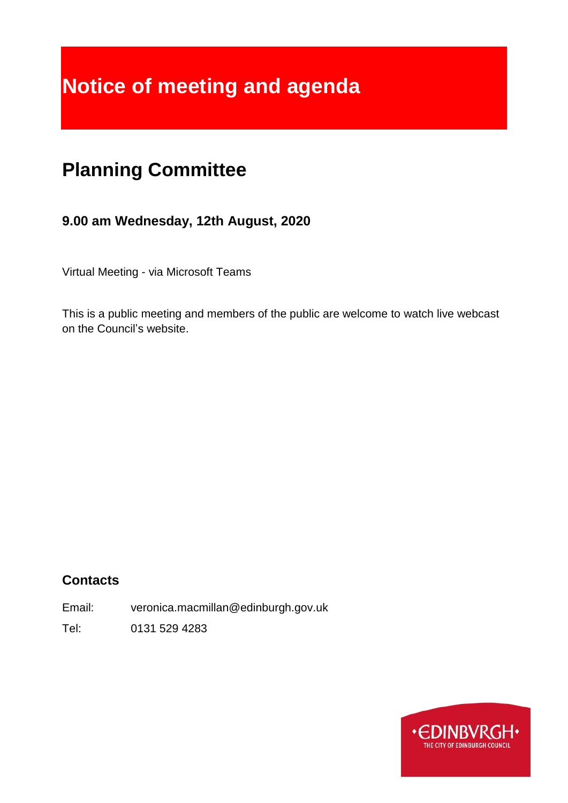# **Notice of meeting and agenda**

## **Planning Committee**

## **9.00 am Wednesday, 12th August, 2020**

Virtual Meeting - via Microsoft Teams

This is a public meeting and members of the public are welcome to watch live webcast on the Council's website.

## **Contacts**

Email: veronica.macmillan@edinburgh.gov.uk

Tel: 0131 529 4283

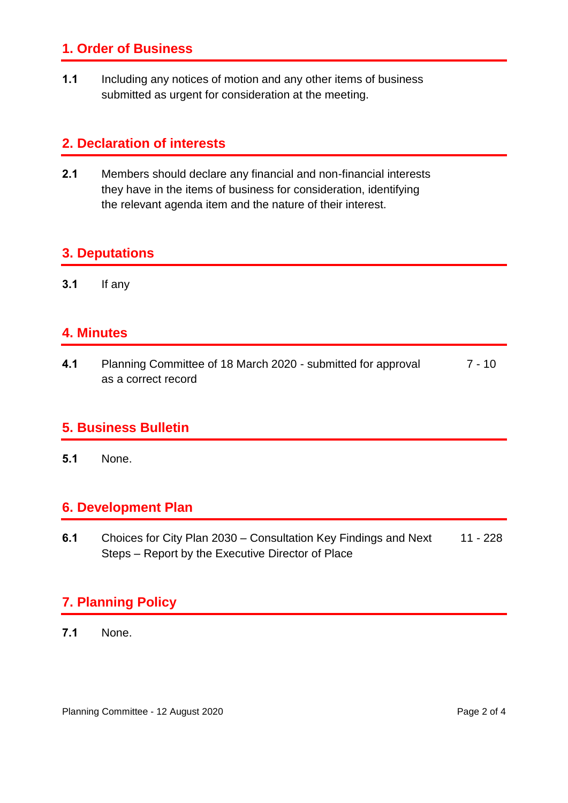## **1. Order of Business**

**1.1** Including any notices of motion and any other items of business submitted as urgent for consideration at the meeting.

## **2. Declaration of interests**

**2.1** Members should declare any financial and non-financial interests they have in the items of business for consideration, identifying the relevant agenda item and the nature of their interest.

## **3. Deputations**

**3.1** If any

## **4. Minutes**

**4.1** Planning Committee of 18 March 2020 - submitted for approval as a correct record  $7 - 10$ 

## **5. Business Bulletin**

**5.1** None.

## **6. Development Plan**

**6.1** Choices for City Plan 2030 – Consultation Key Findings and Next Steps – Report by the Executive Director of Place 11 - 228

## **7. Planning Policy**

**7.1** None.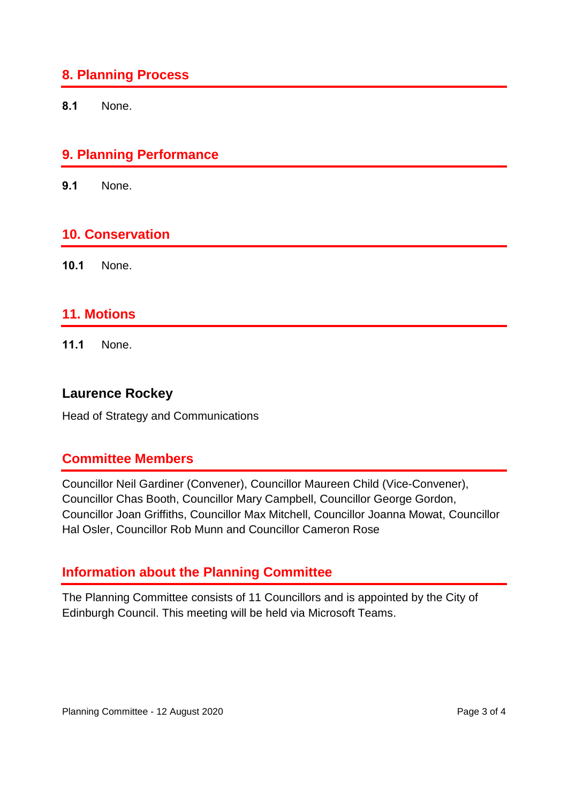## **8. Planning Process**

**8.1** None.

## **9. Planning Performance**

**9.1** None.

#### **10. Conservation**

**10.1** None.

#### **11. Motions**

**11.1** None.

#### **Laurence Rockey**

Head of Strategy and Communications

## **Committee Members**

Councillor Neil Gardiner (Convener), Councillor Maureen Child (Vice-Convener), Councillor Chas Booth, Councillor Mary Campbell, Councillor George Gordon, Councillor Joan Griffiths, Councillor Max Mitchell, Councillor Joanna Mowat, Councillor Hal Osler, Councillor Rob Munn and Councillor Cameron Rose

## **Information about the Planning Committee**

The Planning Committee consists of 11 Councillors and is appointed by the City of Edinburgh Council. This meeting will be held via Microsoft Teams.